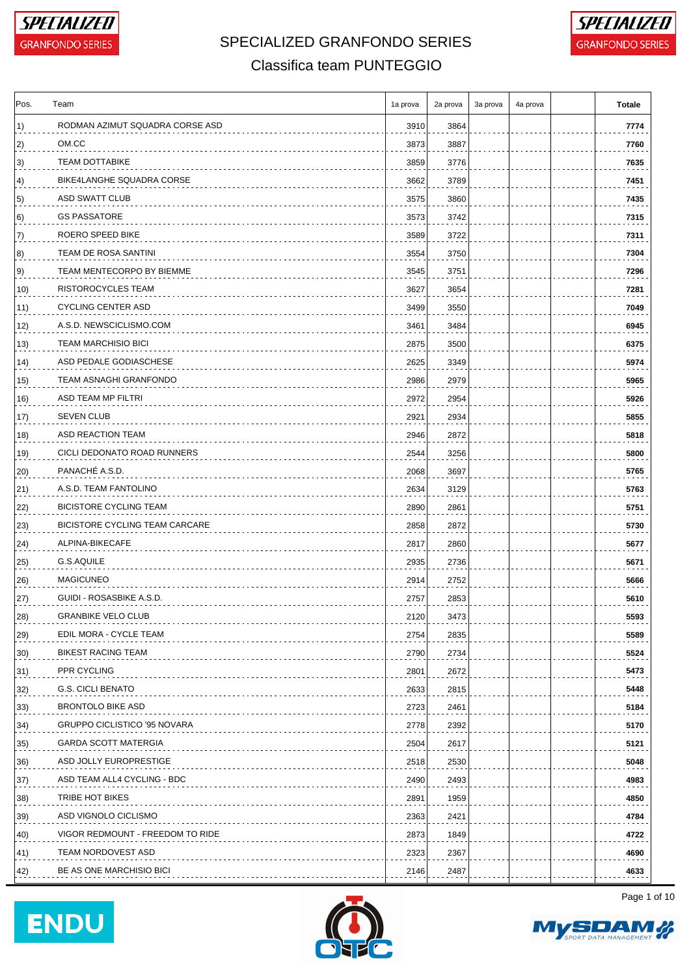



### Classifica team PUNTEGGIO

| RODMAN AZIMUT SQUADRA CORSE ASD<br>3910<br>3864<br>OM.CC<br>3873<br>3887<br><b>TEAM DOTTABIKE</b><br>3859<br>3776<br>BIKE4LANGHE SQUADRA CORSE<br>3789<br>3662<br>ASD SWATT CLUB<br>3575<br>3860<br><b>GS PASSATORE</b><br>3573<br>3742<br>ROERO SPEED BIKE<br>3722<br>3589<br>TEAM DE ROSA SANTINI<br>3554<br>3750<br>TEAM MENTECORPO BY BIEMME<br>3545<br>3751<br>RISTOROCYCLES TEAM<br>3627<br>3654<br><b>CYCLING CENTER ASD</b><br>3499<br>3550<br>A.S.D. NEWSCICLISMO.COM<br>3484<br>3461<br><b>TEAM MARCHISIO BICI</b><br>2875<br>3500<br>ASD PEDALE GODIASCHESE<br>2625<br>3349<br>TEAM ASNAGHI GRANFONDO<br>2986<br>2979<br>ASD TEAM MP FILTRI<br>2972<br>2954<br><b>SEVEN CLUB</b><br>17)<br>2921<br>2934<br>ASD REACTION TEAM<br>2946<br>2872<br>CICLI DEDONATO ROAD RUNNERS<br>2544<br>3256<br>19)<br>PANACHÉ A.S.D.<br>20)<br>2068<br>3697<br>A.S.D. TEAM FANTOLINO<br>2634<br>3129<br>BICISTORE CYCLING TEAM<br>2890<br>2861<br>22)<br>BICISTORE CYCLING TEAM CARCARE<br>23)<br>2858<br>2872<br>ALPINA-BIKECAFE<br>2817<br>2860<br>24)<br>G.S.AQUILE<br>25)<br>2935<br>2736<br><b>MAGICUNEO</b><br>2914<br>2752<br>26)<br>GUIDI - ROSASBIKE A.S.D.<br>$ 27\rangle$<br>2757<br>2853<br><b>GRANBIKE VELO CLUB</b><br>28)<br>2120<br>3473<br>EDIL MORA - CYCLE TEAM<br>$ 29\rangle$<br>2754<br>2835<br><b>BIKEST RACING TEAM</b><br>2790<br>2734<br>PPR CYCLING<br>2801<br>2672<br>31)<br><b>G.S. CICLI BENATO</b><br>2633<br>2815<br>32)<br><b>BRONTOLO BIKE ASD</b><br>33)<br>2723<br>2461<br><b>GRUPPO CICLISTICO '95 NOVARA</b><br>2778<br>2392<br>34)<br><b>GARDA SCOTT MATERGIA</b><br>2504<br>2617<br>35)<br>ASD JOLLY EUROPRESTIGE<br>2518<br>2530<br>36)<br>ASD TEAM ALL4 CYCLING - BDC<br>2490<br>2493<br>37)<br>TRIBE HOT BIKES<br>2891<br>1959<br>ASD VIGNOLO CICLISMO<br>2363<br>2421<br>VIGOR REDMOUNT - FREEDOM TO RIDE<br>2873<br>1849<br>TEAM NORDOVEST ASD<br>2323<br>2367<br>BE AS ONE MARCHISIO BICI<br>2146<br>2487 | Pos.         | Team | 1a prova | 2a prova | 3a prova | 4a prova | Totale |
|----------------------------------------------------------------------------------------------------------------------------------------------------------------------------------------------------------------------------------------------------------------------------------------------------------------------------------------------------------------------------------------------------------------------------------------------------------------------------------------------------------------------------------------------------------------------------------------------------------------------------------------------------------------------------------------------------------------------------------------------------------------------------------------------------------------------------------------------------------------------------------------------------------------------------------------------------------------------------------------------------------------------------------------------------------------------------------------------------------------------------------------------------------------------------------------------------------------------------------------------------------------------------------------------------------------------------------------------------------------------------------------------------------------------------------------------------------------------------------------------------------------------------------------------------------------------------------------------------------------------------------------------------------------------------------------------------------------------------------------------------------------------------------------------------------------------------------------------------------------------------------------------------------------------------------------------------|--------------|------|----------|----------|----------|----------|--------|
|                                                                                                                                                                                                                                                                                                                                                                                                                                                                                                                                                                                                                                                                                                                                                                                                                                                                                                                                                                                                                                                                                                                                                                                                                                                                                                                                                                                                                                                                                                                                                                                                                                                                                                                                                                                                                                                                                                                                                    | $\vert 1)$   |      |          |          |          |          | 7774   |
|                                                                                                                                                                                                                                                                                                                                                                                                                                                                                                                                                                                                                                                                                                                                                                                                                                                                                                                                                                                                                                                                                                                                                                                                                                                                                                                                                                                                                                                                                                                                                                                                                                                                                                                                                                                                                                                                                                                                                    | $ 2\rangle$  |      |          |          |          |          | 7760   |
|                                                                                                                                                                                                                                                                                                                                                                                                                                                                                                                                                                                                                                                                                                                                                                                                                                                                                                                                                                                                                                                                                                                                                                                                                                                                                                                                                                                                                                                                                                                                                                                                                                                                                                                                                                                                                                                                                                                                                    | $ 3\rangle$  |      |          |          |          |          | 7635   |
|                                                                                                                                                                                                                                                                                                                                                                                                                                                                                                                                                                                                                                                                                                                                                                                                                                                                                                                                                                                                                                                                                                                                                                                                                                                                                                                                                                                                                                                                                                                                                                                                                                                                                                                                                                                                                                                                                                                                                    | 4)           |      |          |          |          |          | 7451   |
|                                                                                                                                                                                                                                                                                                                                                                                                                                                                                                                                                                                                                                                                                                                                                                                                                                                                                                                                                                                                                                                                                                                                                                                                                                                                                                                                                                                                                                                                                                                                                                                                                                                                                                                                                                                                                                                                                                                                                    | 5)           |      |          |          |          |          | 7435   |
|                                                                                                                                                                                                                                                                                                                                                                                                                                                                                                                                                                                                                                                                                                                                                                                                                                                                                                                                                                                                                                                                                                                                                                                                                                                                                                                                                                                                                                                                                                                                                                                                                                                                                                                                                                                                                                                                                                                                                    | 6)           |      |          |          |          |          | 7315   |
|                                                                                                                                                                                                                                                                                                                                                                                                                                                                                                                                                                                                                                                                                                                                                                                                                                                                                                                                                                                                                                                                                                                                                                                                                                                                                                                                                                                                                                                                                                                                                                                                                                                                                                                                                                                                                                                                                                                                                    | 7)           |      |          |          |          |          | 7311   |
|                                                                                                                                                                                                                                                                                                                                                                                                                                                                                                                                                                                                                                                                                                                                                                                                                                                                                                                                                                                                                                                                                                                                                                                                                                                                                                                                                                                                                                                                                                                                                                                                                                                                                                                                                                                                                                                                                                                                                    | 8)           |      |          |          |          |          | 7304   |
|                                                                                                                                                                                                                                                                                                                                                                                                                                                                                                                                                                                                                                                                                                                                                                                                                                                                                                                                                                                                                                                                                                                                                                                                                                                                                                                                                                                                                                                                                                                                                                                                                                                                                                                                                                                                                                                                                                                                                    | 9)           |      |          |          |          |          | 7296   |
|                                                                                                                                                                                                                                                                                                                                                                                                                                                                                                                                                                                                                                                                                                                                                                                                                                                                                                                                                                                                                                                                                                                                                                                                                                                                                                                                                                                                                                                                                                                                                                                                                                                                                                                                                                                                                                                                                                                                                    | 10)          |      |          |          |          |          | 7281   |
|                                                                                                                                                                                                                                                                                                                                                                                                                                                                                                                                                                                                                                                                                                                                                                                                                                                                                                                                                                                                                                                                                                                                                                                                                                                                                                                                                                                                                                                                                                                                                                                                                                                                                                                                                                                                                                                                                                                                                    | 11)          |      |          |          |          |          | 7049   |
|                                                                                                                                                                                                                                                                                                                                                                                                                                                                                                                                                                                                                                                                                                                                                                                                                                                                                                                                                                                                                                                                                                                                                                                                                                                                                                                                                                                                                                                                                                                                                                                                                                                                                                                                                                                                                                                                                                                                                    | 12)          |      |          |          |          |          | 6945   |
|                                                                                                                                                                                                                                                                                                                                                                                                                                                                                                                                                                                                                                                                                                                                                                                                                                                                                                                                                                                                                                                                                                                                                                                                                                                                                                                                                                                                                                                                                                                                                                                                                                                                                                                                                                                                                                                                                                                                                    | 13)          |      |          |          |          |          | 6375   |
|                                                                                                                                                                                                                                                                                                                                                                                                                                                                                                                                                                                                                                                                                                                                                                                                                                                                                                                                                                                                                                                                                                                                                                                                                                                                                                                                                                                                                                                                                                                                                                                                                                                                                                                                                                                                                                                                                                                                                    | 14)          |      |          |          |          |          | 5974   |
|                                                                                                                                                                                                                                                                                                                                                                                                                                                                                                                                                                                                                                                                                                                                                                                                                                                                                                                                                                                                                                                                                                                                                                                                                                                                                                                                                                                                                                                                                                                                                                                                                                                                                                                                                                                                                                                                                                                                                    | 15)          |      |          |          |          |          | 5965   |
|                                                                                                                                                                                                                                                                                                                                                                                                                                                                                                                                                                                                                                                                                                                                                                                                                                                                                                                                                                                                                                                                                                                                                                                                                                                                                                                                                                                                                                                                                                                                                                                                                                                                                                                                                                                                                                                                                                                                                    | 16)          |      |          |          |          |          | 5926   |
|                                                                                                                                                                                                                                                                                                                                                                                                                                                                                                                                                                                                                                                                                                                                                                                                                                                                                                                                                                                                                                                                                                                                                                                                                                                                                                                                                                                                                                                                                                                                                                                                                                                                                                                                                                                                                                                                                                                                                    |              |      |          |          |          |          | 5855   |
|                                                                                                                                                                                                                                                                                                                                                                                                                                                                                                                                                                                                                                                                                                                                                                                                                                                                                                                                                                                                                                                                                                                                                                                                                                                                                                                                                                                                                                                                                                                                                                                                                                                                                                                                                                                                                                                                                                                                                    | 18)          |      |          |          |          |          | 5818   |
|                                                                                                                                                                                                                                                                                                                                                                                                                                                                                                                                                                                                                                                                                                                                                                                                                                                                                                                                                                                                                                                                                                                                                                                                                                                                                                                                                                                                                                                                                                                                                                                                                                                                                                                                                                                                                                                                                                                                                    |              |      |          |          |          |          | 5800   |
|                                                                                                                                                                                                                                                                                                                                                                                                                                                                                                                                                                                                                                                                                                                                                                                                                                                                                                                                                                                                                                                                                                                                                                                                                                                                                                                                                                                                                                                                                                                                                                                                                                                                                                                                                                                                                                                                                                                                                    |              |      |          |          |          |          | 5765   |
|                                                                                                                                                                                                                                                                                                                                                                                                                                                                                                                                                                                                                                                                                                                                                                                                                                                                                                                                                                                                                                                                                                                                                                                                                                                                                                                                                                                                                                                                                                                                                                                                                                                                                                                                                                                                                                                                                                                                                    | $ 21\rangle$ |      |          |          |          |          | 5763   |
|                                                                                                                                                                                                                                                                                                                                                                                                                                                                                                                                                                                                                                                                                                                                                                                                                                                                                                                                                                                                                                                                                                                                                                                                                                                                                                                                                                                                                                                                                                                                                                                                                                                                                                                                                                                                                                                                                                                                                    |              |      |          |          |          |          | 5751   |
|                                                                                                                                                                                                                                                                                                                                                                                                                                                                                                                                                                                                                                                                                                                                                                                                                                                                                                                                                                                                                                                                                                                                                                                                                                                                                                                                                                                                                                                                                                                                                                                                                                                                                                                                                                                                                                                                                                                                                    |              |      |          |          |          |          | 5730   |
|                                                                                                                                                                                                                                                                                                                                                                                                                                                                                                                                                                                                                                                                                                                                                                                                                                                                                                                                                                                                                                                                                                                                                                                                                                                                                                                                                                                                                                                                                                                                                                                                                                                                                                                                                                                                                                                                                                                                                    |              |      |          |          |          |          | 5677   |
|                                                                                                                                                                                                                                                                                                                                                                                                                                                                                                                                                                                                                                                                                                                                                                                                                                                                                                                                                                                                                                                                                                                                                                                                                                                                                                                                                                                                                                                                                                                                                                                                                                                                                                                                                                                                                                                                                                                                                    |              |      |          |          |          |          | 5671   |
|                                                                                                                                                                                                                                                                                                                                                                                                                                                                                                                                                                                                                                                                                                                                                                                                                                                                                                                                                                                                                                                                                                                                                                                                                                                                                                                                                                                                                                                                                                                                                                                                                                                                                                                                                                                                                                                                                                                                                    |              |      |          |          |          |          | 5666   |
|                                                                                                                                                                                                                                                                                                                                                                                                                                                                                                                                                                                                                                                                                                                                                                                                                                                                                                                                                                                                                                                                                                                                                                                                                                                                                                                                                                                                                                                                                                                                                                                                                                                                                                                                                                                                                                                                                                                                                    |              |      |          |          |          |          | 5610   |
|                                                                                                                                                                                                                                                                                                                                                                                                                                                                                                                                                                                                                                                                                                                                                                                                                                                                                                                                                                                                                                                                                                                                                                                                                                                                                                                                                                                                                                                                                                                                                                                                                                                                                                                                                                                                                                                                                                                                                    |              |      |          |          |          |          | 5593   |
|                                                                                                                                                                                                                                                                                                                                                                                                                                                                                                                                                                                                                                                                                                                                                                                                                                                                                                                                                                                                                                                                                                                                                                                                                                                                                                                                                                                                                                                                                                                                                                                                                                                                                                                                                                                                                                                                                                                                                    |              |      |          |          |          |          | 5589   |
|                                                                                                                                                                                                                                                                                                                                                                                                                                                                                                                                                                                                                                                                                                                                                                                                                                                                                                                                                                                                                                                                                                                                                                                                                                                                                                                                                                                                                                                                                                                                                                                                                                                                                                                                                                                                                                                                                                                                                    | 30)          |      |          |          |          |          | 5524   |
|                                                                                                                                                                                                                                                                                                                                                                                                                                                                                                                                                                                                                                                                                                                                                                                                                                                                                                                                                                                                                                                                                                                                                                                                                                                                                                                                                                                                                                                                                                                                                                                                                                                                                                                                                                                                                                                                                                                                                    |              |      |          |          |          |          | 5473   |
|                                                                                                                                                                                                                                                                                                                                                                                                                                                                                                                                                                                                                                                                                                                                                                                                                                                                                                                                                                                                                                                                                                                                                                                                                                                                                                                                                                                                                                                                                                                                                                                                                                                                                                                                                                                                                                                                                                                                                    |              |      |          |          |          |          | 5448   |
|                                                                                                                                                                                                                                                                                                                                                                                                                                                                                                                                                                                                                                                                                                                                                                                                                                                                                                                                                                                                                                                                                                                                                                                                                                                                                                                                                                                                                                                                                                                                                                                                                                                                                                                                                                                                                                                                                                                                                    |              |      |          |          |          |          | 5184   |
|                                                                                                                                                                                                                                                                                                                                                                                                                                                                                                                                                                                                                                                                                                                                                                                                                                                                                                                                                                                                                                                                                                                                                                                                                                                                                                                                                                                                                                                                                                                                                                                                                                                                                                                                                                                                                                                                                                                                                    |              |      |          |          |          |          | 5170   |
|                                                                                                                                                                                                                                                                                                                                                                                                                                                                                                                                                                                                                                                                                                                                                                                                                                                                                                                                                                                                                                                                                                                                                                                                                                                                                                                                                                                                                                                                                                                                                                                                                                                                                                                                                                                                                                                                                                                                                    |              |      |          |          |          |          | 5121   |
|                                                                                                                                                                                                                                                                                                                                                                                                                                                                                                                                                                                                                                                                                                                                                                                                                                                                                                                                                                                                                                                                                                                                                                                                                                                                                                                                                                                                                                                                                                                                                                                                                                                                                                                                                                                                                                                                                                                                                    |              |      |          |          |          |          | 5048   |
|                                                                                                                                                                                                                                                                                                                                                                                                                                                                                                                                                                                                                                                                                                                                                                                                                                                                                                                                                                                                                                                                                                                                                                                                                                                                                                                                                                                                                                                                                                                                                                                                                                                                                                                                                                                                                                                                                                                                                    |              |      |          |          |          |          | 4983   |
|                                                                                                                                                                                                                                                                                                                                                                                                                                                                                                                                                                                                                                                                                                                                                                                                                                                                                                                                                                                                                                                                                                                                                                                                                                                                                                                                                                                                                                                                                                                                                                                                                                                                                                                                                                                                                                                                                                                                                    | 38)          |      |          |          |          |          | 4850   |
|                                                                                                                                                                                                                                                                                                                                                                                                                                                                                                                                                                                                                                                                                                                                                                                                                                                                                                                                                                                                                                                                                                                                                                                                                                                                                                                                                                                                                                                                                                                                                                                                                                                                                                                                                                                                                                                                                                                                                    | 39)          |      |          |          |          |          | 4784   |
|                                                                                                                                                                                                                                                                                                                                                                                                                                                                                                                                                                                                                                                                                                                                                                                                                                                                                                                                                                                                                                                                                                                                                                                                                                                                                                                                                                                                                                                                                                                                                                                                                                                                                                                                                                                                                                                                                                                                                    | 40)          |      |          |          |          |          | 4722   |
|                                                                                                                                                                                                                                                                                                                                                                                                                                                                                                                                                                                                                                                                                                                                                                                                                                                                                                                                                                                                                                                                                                                                                                                                                                                                                                                                                                                                                                                                                                                                                                                                                                                                                                                                                                                                                                                                                                                                                    | 41)          |      |          |          |          |          | 4690   |
|                                                                                                                                                                                                                                                                                                                                                                                                                                                                                                                                                                                                                                                                                                                                                                                                                                                                                                                                                                                                                                                                                                                                                                                                                                                                                                                                                                                                                                                                                                                                                                                                                                                                                                                                                                                                                                                                                                                                                    | 42)          |      |          |          |          |          | 4633   |





Page 1 of 10

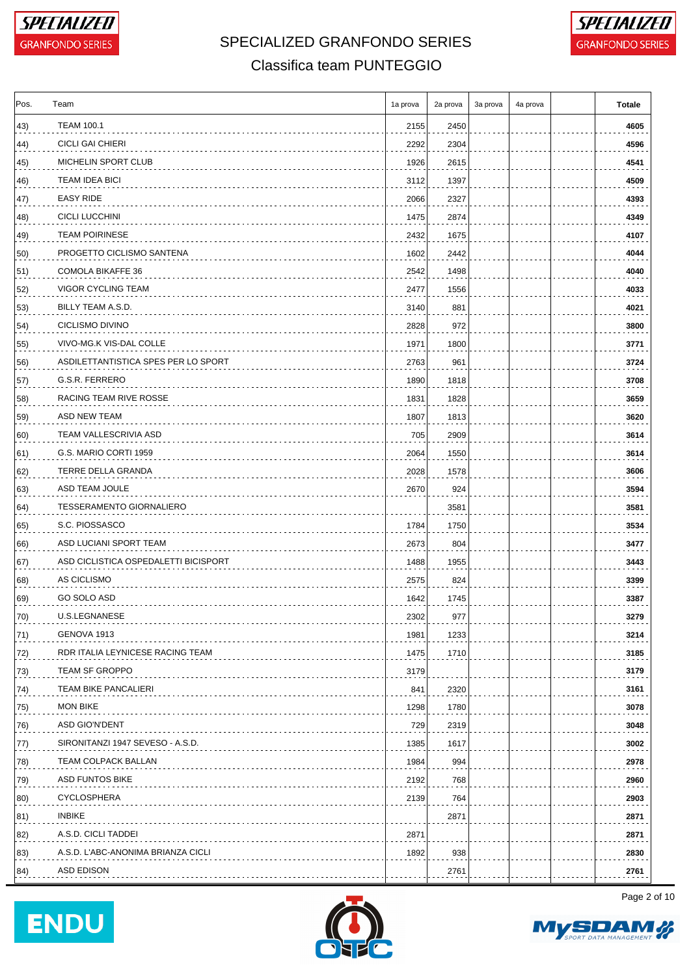



#### Classifica team PUNTEGGIO

| Pos.         | Team                                 | 1a prova | 2a prova | 3a prova | 4a prova | <b>Totale</b> |
|--------------|--------------------------------------|----------|----------|----------|----------|---------------|
| 43)          | <b>TEAM 100.1</b>                    | 2155     | 2450     |          |          | 4605          |
| 44)          | <b>CICLI GAI CHIERI</b>              | 2292     | 2304     |          |          | 4596          |
| 45)          | MICHELIN SPORT CLUB                  | 1926     | 2615     |          |          | 4541          |
| 46)          | <b>TEAM IDEA BICI</b>                | 3112     | 1397     |          |          | 4509          |
| 47)          | <b>EASY RIDE</b>                     | 2066     | 2327     |          |          | 4393          |
| 48)          | <b>CICLI LUCCHINI</b>                | 1475     | 2874     |          |          | 4349          |
| 49)          | <b>TEAM POIRINESE</b>                | 2432     | 1675     |          |          | 4107          |
| 50)          | PROGETTO CICLISMO SANTENA            | 1602     | 2442     |          |          | 4044          |
| 51)          | COMOLA BIKAFFE 36                    | 2542     | 1498     |          |          | 4040          |
| 52)          | VIGOR CYCLING TEAM                   | 2477     | 1556     |          |          | 4033          |
| 53)          | BILLY TEAM A.S.D.                    | 3140     | 881      |          |          | 4021          |
| 54)          | <b>CICLISMO DIVINO</b>               | 2828     | 972      |          |          | 3800          |
| 55)          | VIVO-MG.K VIS-DAL COLLE              | 1971     | 1800     |          |          | 3771          |
| 56)          | ASDILETTANTISTICA SPES PER LO SPORT  | 2763     | 961      |          |          | 3724          |
| 57)          | G.S.R. FERRERO                       | 1890     | 1818     |          |          | 3708          |
| 58)          | RACING TEAM RIVE ROSSE               | 1831     | 1828     |          |          | 3659          |
| 59)          | ASD NEW TEAM                         | 1807     | 1813     |          |          | 3620          |
| 60)          | TEAM VALLESCRIVIA ASD                | 705      | 2909     |          |          | 3614          |
| 61)          | G.S. MARIO CORTI 1959                | 2064     | 1550     |          |          | 3614          |
| 62)          | TERRE DELLA GRANDA                   | 2028     | 1578     |          |          | 3606          |
| 63)          | ASD TEAM JOULE                       | 2670     | 924      |          |          | 3594          |
| 64)          | <b>TESSERAMENTO GIORNALIERO</b>      |          | 3581     |          |          | 3581          |
| 65)          | S.C. PIOSSASCO                       | 1784     | 1750     |          |          | 3534          |
| 66)          | ASD LUCIANI SPORT TEAM               | 2673     | 804      |          |          | 3477          |
| 67)          | ASD CICLISTICA OSPEDALETTI BICISPORT | 1488     | 1955     |          |          | 3443          |
| 68)          | AS CICLISMO                          | 2575     | 824      |          |          | 3399          |
| 69)          | GO SOLO ASD                          | 1642     | 1745     |          |          | 3387          |
| 70)          | U.S.LEGNANESE                        | 2302     | 977      |          |          | 3279          |
| $ 71\rangle$ | GENOVA 1913                          | 1981     | 1233     |          |          | 3214          |
| 72)          | RDR ITALIA LEYNICESE RACING TEAM     | 1475     | 1710     |          |          | 3185          |
| 73)          | TEAM SF GROPPO                       | 3179     |          |          |          | 3179          |
| 74)          | <b>TEAM BIKE PANCALIERI</b>          | 841      | 2320     |          |          | 3161          |
| 75)          | <b>MON BIKE</b>                      | 1298     | 1780     |          |          | 3078          |
| 76)          | ASD GIO'N'DENT                       | 729      | 2319     |          |          | 3048          |
| 77)          | SIRONITANZI 1947 SEVESO - A.S.D.     | 1385     | 1617     |          |          | 3002          |
| 78)          | TEAM COLPACK BALLAN                  | 1984     | 994      |          |          | 2978          |
| 79)          | ASD FUNTOS BIKE                      | 2192     | 768      |          |          | 2960          |
| 80)          | <b>CYCLOSPHERA</b>                   | 2139     | 764      |          |          | 2903          |
| 81)          | <b>INBIKE</b>                        |          | 2871     |          |          | 2871          |
| 82)          | A.S.D. CICLI TADDEI                  | 2871     |          |          |          | 2871          |
| 83)          | A.S.D. L'ABC-ANONIMA BRIANZA CICLI   | 1892     | 938      |          |          | 2830          |
| 84)          | ASD EDISON                           |          | 2761     |          |          | 2761          |
|              |                                      |          |          |          |          |               |





Page 2 of 10

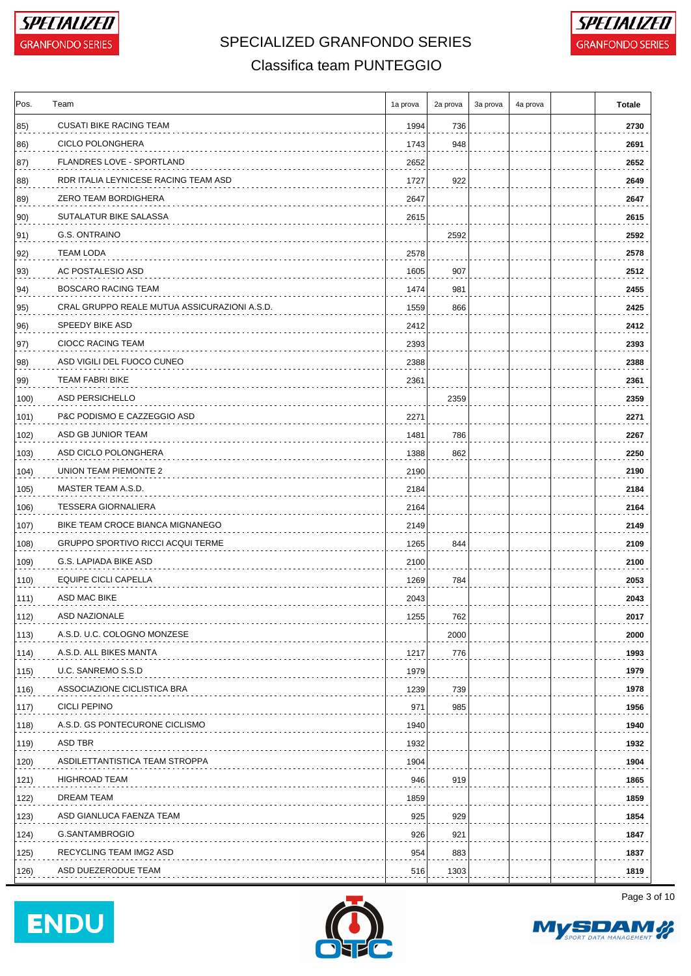



### Classifica team PUNTEGGIO

| Pos. | Team                                         | 1a prova | 2a prova | 3a prova | 4a prova | <b>Totale</b> |
|------|----------------------------------------------|----------|----------|----------|----------|---------------|
| 85)  | <b>CUSATI BIKE RACING TEAM</b>               | 1994     | 736      |          |          | 2730          |
| 86)  | <b>CICLO POLONGHERA</b>                      | 1743     | 948      |          |          | 2691          |
| 87)  | FLANDRES LOVE - SPORTLAND                    | 2652     |          |          |          | 2652          |
| 88)  | RDR ITALIA LEYNICESE RACING TEAM ASD         | 1727     | 922      |          |          | 2649          |
| 89)  | ZERO TEAM BORDIGHERA                         | 2647     |          |          |          | 2647          |
| 90)  | SUTALATUR BIKE SALASSA                       | 2615     |          |          |          | 2615          |
| 91)  | G.S. ONTRAINO                                |          | 2592     |          |          | 2592          |
| 92)  | TEAM LODA                                    | 2578     |          |          |          | 2578          |
| 93)  | AC POSTALESIO ASD                            | 1605     | 907      |          |          | 2512          |
| 94)  | BOSCARO RACING TEAM                          | 1474     | 981      |          |          | 2455          |
| 95)  | CRAL GRUPPO REALE MUTUA ASSICURAZIONI A.S.D. | 1559     | 866      |          |          | 2425          |
| 96)  | SPEEDY BIKE ASD                              | 2412     |          |          |          | 2412          |
| 97)  | CIOCC RACING TEAM                            | 2393     |          |          |          | 2393          |
| 98)  | ASD VIGILI DEL FUOCO CUNEO                   | 2388     |          |          |          | 2388          |
| 99)  | TEAM FABRI BIKE                              | 2361     |          |          |          | 2361          |
| 100) | ASD PERSICHELLO                              |          | 2359     |          |          | 2359          |
| 101) | P&C PODISMO E CAZZEGGIO ASD                  | 2271     |          |          |          | 2271          |
| 102) | ASD GB JUNIOR TEAM                           | 1481     | 786      |          |          | 2267          |
| 103) | ASD CICLO POLONGHERA                         | 1388     | 862      |          |          | 2250          |
| 104) | UNION TEAM PIEMONTE 2                        | 2190     |          |          |          | 2190          |
| 105) | MASTER TEAM A.S.D.                           | 2184     |          |          |          | 2184          |
| 106) | <b>TESSERA GIORNALIERA</b>                   | 2164     |          |          |          | 2164          |
| 107) | BIKE TEAM CROCE BIANCA MIGNANEGO             | 2149     |          |          |          | 2149          |
| 108) | <b>GRUPPO SPORTIVO RICCI ACQUI TERME</b>     | 1265     | 844      |          |          | 2109          |
| 109) | G.S. LAPIADA BIKE ASD                        | 2100     |          |          |          | 2100          |
| 110) | EQUIPE CICLI CAPELLA                         | 1269     | 784      |          |          | 2053          |
| 111) | ASD MAC BIKE                                 | 2043     |          |          |          | 2043          |
| 112) | ASD NAZIONALE                                | 1255     | 762      |          |          | 2017          |
| 113) | A.S.D. U.C. COLOGNO MONZESE                  |          | 2000     |          |          | 2000          |
| 114) | A.S.D. ALL BIKES MANTA                       | 1217     | 776      |          |          | 1993          |
| 115) | U.C. SANREMO S.S.D                           | 1979     |          |          |          | 1979          |
| 116) | ASSOCIAZIONE CICLISTICA BRA                  | 1239     | 739      |          |          | 1978          |
| 117) | <b>CICLI PEPINO</b>                          | 971      | 985      |          |          | 1956          |
| 118) | A.S.D. GS PONTECURONE CICLISMO               | 1940     |          |          |          | 1940          |
| 119) | ASD TBR                                      | 1932     |          |          |          | 1932          |
| 120) | ASDILETTANTISTICA TEAM STROPPA               | 1904     |          |          |          | 1904          |
| 121) | <b>HIGHROAD TEAM</b>                         | 946      | 919      |          |          | 1865          |
| 122) | DREAM TEAM                                   | 1859     |          |          |          | 1859          |
| 123) | ASD GIANLUCA FAENZA TEAM                     | 925      | 929      |          |          | 1854          |
| 124) | G.SANTAMBROGIO                               | 926      | 921      |          |          | 1847          |
| 125) | RECYCLING TEAM IMG2 ASD                      | 954      | 883      |          |          | 1837          |
| 126) | ASD DUEZERODUE TEAM                          | 516      | 1303     |          |          | 1819          |
|      |                                              |          |          |          |          |               |





Page 3 of 10

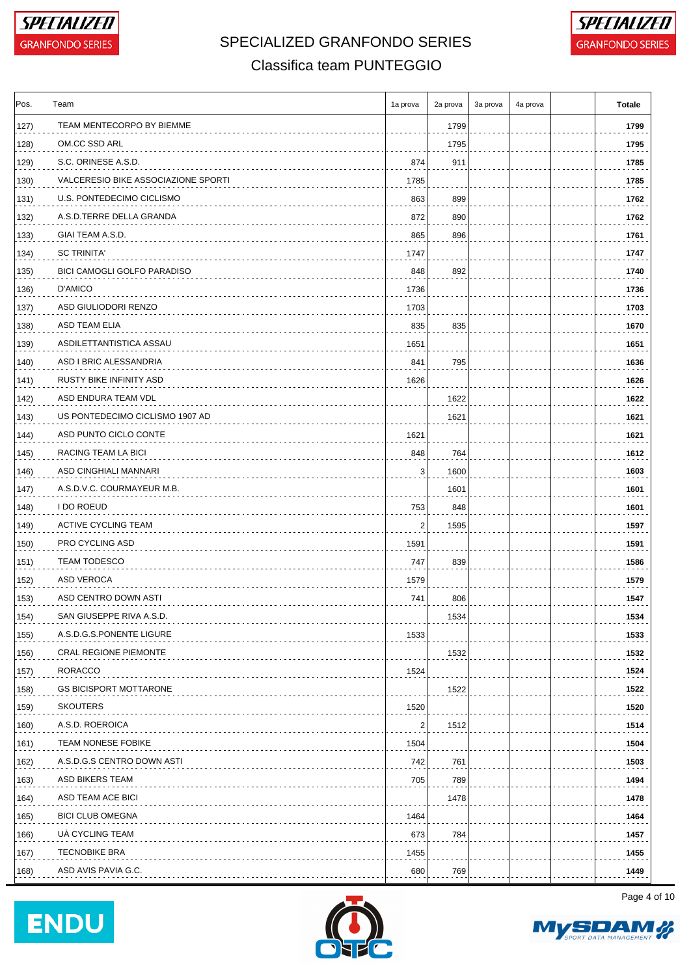



### Classifica team PUNTEGGIO

| Pos. | Team                                | 1a prova                | 2a prova | 3a prova | 4a prova | <b>Totale</b> |
|------|-------------------------------------|-------------------------|----------|----------|----------|---------------|
| 127) | TEAM MENTECORPO BY BIEMME           |                         | 1799     |          |          | 1799          |
| 128) | OM.CC SSD ARL                       |                         | 1795     |          |          | 1795          |
| 129) | S.C. ORINESE A.S.D.                 | 874                     | 911      |          |          | 1785          |
| 130) | VALCERESIO BIKE ASSOCIAZIONE SPORTI | 1785                    |          |          |          | 1785          |
| 131) | U.S. PONTEDECIMO CICLISMO           | 863                     | 899      |          |          | 1762          |
| 132) | A.S.D.TERRE DELLA GRANDA            | 872                     | 890      |          |          | 1762          |
| 133) | GIAI TEAM A.S.D.                    | 865                     | 896      |          |          | 1761          |
| 134) | <b>SC TRINITA'</b>                  | 1747                    |          |          |          | 1747          |
| 135) | <b>BICI CAMOGLI GOLFO PARADISO</b>  | 848                     | 892      |          |          | 1740          |
| 136) | D'AMICO                             | 1736                    |          |          |          | 1736          |
| 137) | ASD GIULIODORI RENZO                | 1703                    |          |          |          | 1703          |
| 138) | ASD TEAM ELIA                       | 835                     | 835      |          |          | 1670          |
| 139) | ASDILETTANTISTICA ASSAU             | 1651                    |          |          |          | 1651          |
| 140) | ASD I BRIC ALESSANDRIA              | 841                     | 795      |          |          | 1636          |
| 141) | RUSTY BIKE INFINITY ASD             | 1626                    |          |          |          | 1626          |
| 142) | ASD ENDURA TEAM VDL                 |                         | 1622     |          |          | 1622          |
| 143) | US PONTEDECIMO CICLISMO 1907 AD     |                         | 1621     |          |          | 1621          |
| 144) | ASD PUNTO CICLO CONTE               | 1621                    |          |          |          | 1621          |
| 145) | RACING TEAM LA BICI                 | 848                     | 764      |          |          | 1612          |
| 146) | ASD CINGHIALI MANNARI               | 3                       | 1600     |          |          | 1603          |
| 147) | A.S.D.V.C. COURMAYEUR M.B.          |                         | 1601     |          |          | 1601          |
| 148) | <b>I DO ROEUD</b>                   | 753                     | 848      |          |          | 1601          |
| 149) | <b>ACTIVE CYCLING TEAM</b>          | 2                       | 1595     |          |          | 1597          |
| 150) | PRO CYCLING ASD                     | 1591                    |          |          |          | 1591          |
| 151) | <b>TEAM TODESCO</b>                 | 747                     | 839      |          |          | 1586          |
| 152) | ASD VEROCA                          | 1579                    |          |          |          | 1579          |
| 153) | ASD CENTRO DOWN ASTI                | 741                     | 806      |          |          | 1547          |
| 154) | SAN GIUSEPPE RIVA A.S.D.            |                         | 1534     |          |          | 1534          |
| 155) | A.S.D.G.S.PONENTE LIGURE            | 1533                    |          |          |          | 1533          |
| 156) | <b>CRAL REGIONE PIEMONTE</b>        |                         | 1532     |          |          | 1532          |
|      | <b>RORACCO</b>                      |                         |          |          |          | 1524          |
| 157) | <b>GS BICISPORT MOTTARONE</b>       | 1524                    | 1522     |          |          | 1522          |
| 158) | <b>SKOUTERS</b>                     |                         |          |          |          |               |
| 159) | A.S.D. ROEROICA                     | 1520                    |          |          |          | 1520<br>1514  |
| 160) | <b>TEAM NONESE FOBIKE</b>           | $\overline{\mathbf{c}}$ | 1512     |          |          |               |
| 161) |                                     | 1504                    |          |          |          | 1504          |
| 162) | A.S.D.G.S CENTRO DOWN ASTI          | 742                     | 761      |          |          | 1503          |
| 163) | ASD BIKERS TEAM                     | 705                     | 789      |          |          | 1494          |
| 164) | ASD TEAM ACE BICI                   |                         | 1478     |          |          | 1478          |
| 165) | <b>BICI CLUB OMEGNA</b>             | 1464                    |          |          |          | 1464          |
| 166) | UÀ CYCLING TEAM                     | 673                     | 784      |          |          | 1457          |
| 167) | <b>TECNOBIKE BRA</b>                | 1455                    |          |          |          | 1455          |
| 168) | ASD AVIS PAVIA G.C.                 | 680                     | 769      |          |          | 1449          |





Page 4 of 10

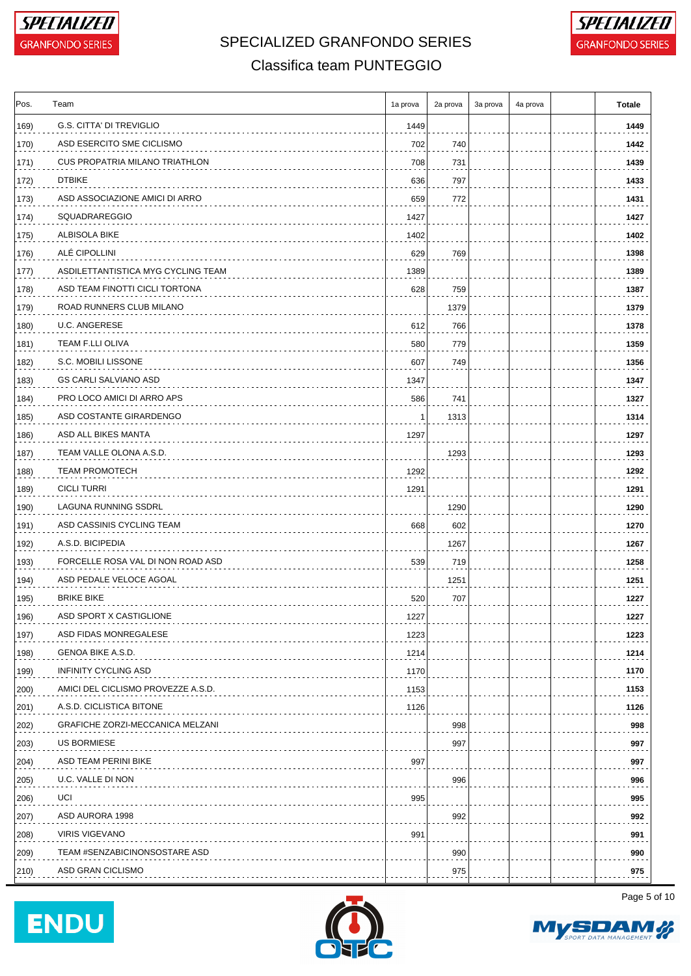



### Classifica team PUNTEGGIO

| Pos.          | Team                               | 1a prova | 2a prova   | 3a prova | 4a prova | <b>Totale</b> |
|---------------|------------------------------------|----------|------------|----------|----------|---------------|
| 169)          | G.S. CITTA' DI TREVIGLIO           | 1449     |            |          |          | 1449          |
| 170)          | ASD ESERCITO SME CICLISMO          | 702      | 740        |          |          | 1442          |
| 171)          | CUS PROPATRIA MILANO TRIATHLON     | 708      | 731        |          |          | 1439          |
| 172)          | <b>DTBIKE</b>                      | 636      | 797        |          |          | 1433          |
| 173)          | ASD ASSOCIAZIONE AMICI DI ARRO     | 659      | 772        |          |          | 1431          |
| 174)          | SQUADRAREGGIO                      | 1427     |            |          |          | 1427          |
| 175)          | <b>ALBISOLA BIKE</b>               | 1402     |            |          |          | 1402          |
| 176)          | ALÉ CIPOLLINI                      | 629      | 769        |          |          | 1398          |
| 177)          | ASDILETTANTISTICA MYG CYCLING TEAM | 1389     |            |          |          | 1389          |
| 178)          | ASD TEAM FINOTTI CICLI TORTONA     | 628      | 759        |          |          | 1387          |
| 179)          | ROAD RUNNERS CLUB MILANO           |          | 1379       |          |          | 1379          |
| 180)          | <b>U.C. ANGERESE</b>               | 612      | 766        |          |          | 1378          |
| 181)          | TEAM F.LLI OLIVA                   | 580      | 779        |          |          | 1359          |
| 182)          | S.C. MOBILI LISSONE                | 607      | 749        |          |          | 1356          |
| 183)          | GS CARLI SALVIANO ASD              | 1347     |            |          |          | 1347          |
| 184)          | PRO LOCO AMICI DI ARRO APS         | 586      | 741        |          |          | 1327          |
| 185)          | ASD COSTANTE GIRARDENGO            | -1       | 1313       |          |          | 1314          |
| 186)          | ASD ALL BIKES MANTA                | 1297     |            |          |          | 1297          |
| 187)          | TEAM VALLE OLONA A.S.D.            |          | 1293       |          |          | 1293          |
| 188)          | <b>TEAM PROMOTECH</b>              | 1292     |            |          |          | 1292          |
| 189)          | <b>CICLI TURRI</b>                 | 1291     |            |          |          | 1291          |
| 190)          | LAGUNA RUNNING SSDRL               |          | 1290       |          |          | 1290          |
| 191)          | ASD CASSINIS CYCLING TEAM          | 668      | 602        |          |          | 1270          |
| 192)          | A.S.D. BICIPEDIA                   |          | 1267       |          |          | 1267          |
| 193)          | FORCELLE ROSA VAL DI NON ROAD ASD  | 539      | 719        |          |          | 1258          |
| 194)          | ASD PEDALE VELOCE AGOAL            |          | 1251       |          |          | 1251          |
| 195)          | <b>BRIKE BIKE</b>                  | 520      | 707        |          |          | 1227          |
| 196)          | ASD SPORT X CASTIGLIONE            | 1227     |            |          |          | 1227          |
| 197)          | ASD FIDAS MONREGALESE              | 1223     |            |          |          | 1223          |
| 198)          | GENOA BIKE A.S.D.                  | 1214     |            |          |          | 1214          |
| 199)          | <b>INFINITY CYCLING ASD</b>        | 1170     |            |          |          | 1170          |
| 200)          | AMICI DEL CICLISMO PROVEZZE A.S.D. | 1153     |            |          |          | 1153          |
| 201)          | A.S.D. CICLISTICA BITONE           | 1126     |            |          |          | 1126          |
|               | GRAFICHE ZORZI-MECCANICA MELZANI   |          |            |          |          | 998           |
| 202)          | US BORMIESE                        |          | 998<br>997 |          |          |               |
| 203)          |                                    |          |            |          |          | 997           |
| 204)          | ASD TEAM PERINI BIKE               | 997      |            |          |          | 997           |
| $ 205\rangle$ | U.C. VALLE DI NON                  |          | 996        |          |          | 996           |
| 206)          | UCI                                | 995      |            |          |          | 995           |
| 207)          | ASD AURORA 1998                    |          | 992        |          |          | 992           |
| 208)          | <b>VIRIS VIGEVANO</b>              | 991      |            |          |          | 991           |
| 209)          | TEAM #SENZABICINONSOSTARE ASD      |          | 990        |          |          | 990           |
| $ 210\rangle$ | ASD GRAN CICLISMO                  |          | 975        |          |          | 975           |





Page 5 of 10

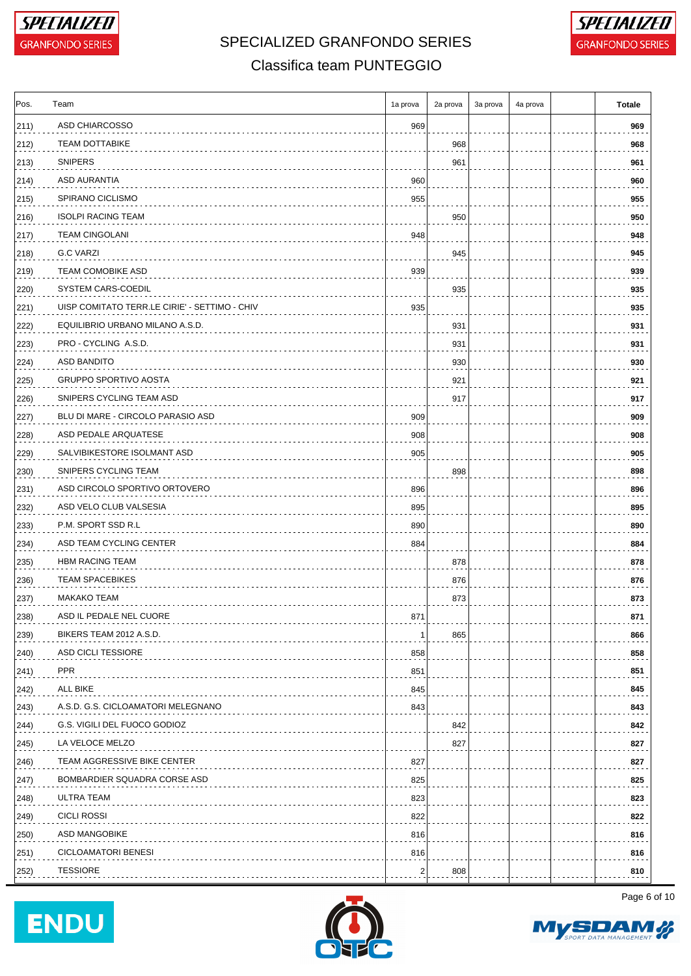



#### Classifica team PUNTEGGIO

| ASD CHIARCOSSO<br>969<br><b>TEAM DOTTABIKE</b><br>968<br><b>SNIPERS</b><br>961<br>ASD AURANTIA<br>960<br>SPIRANO CICLISMO<br>955<br><b>ISOLPI RACING TEAM</b><br>950<br><b>TEAM CINGOLANI</b><br>948<br>G.C VARZI<br>945<br><b>TEAM COMOBIKE ASD</b><br>939<br>SYSTEM CARS-COEDIL<br>935<br>UISP COMITATO TERR.LE CIRIE' - SETTIMO - CHIV<br>935<br>EQUILIBRIO URBANO MILANO A.S.D.<br>931<br>PRO - CYCLING A.S.D.<br>931<br>ASD BANDITO<br>930<br><b>GRUPPO SPORTIVO AOSTA</b><br>921<br>SNIPERS CYCLING TEAM ASD<br>917<br>BLU DI MARE - CIRCOLO PARASIO ASD<br>909<br>ASD PEDALE ARQUATESE<br>908<br>SALVIBIKESTORE ISOLMANT ASD<br>905<br>229)<br>(230)<br>SNIPERS CYCLING TEAM<br>898<br>ASD CIRCOLO SPORTIVO ORTOVERO<br>896<br>231)<br>ASD VELO CLUB VALSESIA<br>895<br>232)<br>P.M. SPORT SSD R.L<br>890<br>233)<br>ASD TEAM CYCLING CENTER<br>234)<br>884<br><b>HBM RACING TEAM</b><br>878<br>235)<br><b>TEAM SPACEBIKES</b><br>876<br>236)<br><b>MAKAKO TEAM</b><br>873<br>237)<br>238)<br>ASD IL PEDALE NEL CUORE<br>871<br>BIKERS TEAM 2012 A.S.D.<br>865<br>239)<br>-1<br>ASD CICLI TESSIORE<br>858<br>240)<br><b>PPR</b><br>851<br>241)<br>ALL BIKE<br>845<br>A.S.D. G.S. CICLOAMATORI MELEGNANO<br>843<br>G.S. VIGILI DEL FUOCO GODIOZ<br>842<br>244)<br>LA VELOCE MELZO<br>827<br>245)<br>TEAM AGGRESSIVE BIKE CENTER<br>827<br>BOMBARDIER SQUADRA CORSE ASD<br>825<br>247)<br>ULTRA TEAM<br>823<br><b>CICLI ROSSI</b><br>822<br>ASD MANGOBIKE<br>816<br><b>CICLOAMATORI BENESI</b><br>816<br><b>TESSIORE</b><br>$\overline{c}$<br>808 | Pos.          | Team | 1a prova | 2a prova | 3a prova | 4a prova | <b>Totale</b> |
|--------------------------------------------------------------------------------------------------------------------------------------------------------------------------------------------------------------------------------------------------------------------------------------------------------------------------------------------------------------------------------------------------------------------------------------------------------------------------------------------------------------------------------------------------------------------------------------------------------------------------------------------------------------------------------------------------------------------------------------------------------------------------------------------------------------------------------------------------------------------------------------------------------------------------------------------------------------------------------------------------------------------------------------------------------------------------------------------------------------------------------------------------------------------------------------------------------------------------------------------------------------------------------------------------------------------------------------------------------------------------------------------------------------------------------------------------------------------------------------------------------------------------------------------------------|---------------|------|----------|----------|----------|----------|---------------|
|                                                                                                                                                                                                                                                                                                                                                                                                                                                                                                                                                                                                                                                                                                                                                                                                                                                                                                                                                                                                                                                                                                                                                                                                                                                                                                                                                                                                                                                                                                                                                        | $ 211\rangle$ |      |          |          |          |          | 969           |
|                                                                                                                                                                                                                                                                                                                                                                                                                                                                                                                                                                                                                                                                                                                                                                                                                                                                                                                                                                                                                                                                                                                                                                                                                                                                                                                                                                                                                                                                                                                                                        | 212)          |      |          |          |          |          | 968           |
|                                                                                                                                                                                                                                                                                                                                                                                                                                                                                                                                                                                                                                                                                                                                                                                                                                                                                                                                                                                                                                                                                                                                                                                                                                                                                                                                                                                                                                                                                                                                                        | $ 213\rangle$ |      |          |          |          |          | 961           |
|                                                                                                                                                                                                                                                                                                                                                                                                                                                                                                                                                                                                                                                                                                                                                                                                                                                                                                                                                                                                                                                                                                                                                                                                                                                                                                                                                                                                                                                                                                                                                        | 214)          |      |          |          |          |          | 960           |
|                                                                                                                                                                                                                                                                                                                                                                                                                                                                                                                                                                                                                                                                                                                                                                                                                                                                                                                                                                                                                                                                                                                                                                                                                                                                                                                                                                                                                                                                                                                                                        | 215)          |      |          |          |          |          | 955           |
|                                                                                                                                                                                                                                                                                                                                                                                                                                                                                                                                                                                                                                                                                                                                                                                                                                                                                                                                                                                                                                                                                                                                                                                                                                                                                                                                                                                                                                                                                                                                                        | 216)          |      |          |          |          |          | 950           |
|                                                                                                                                                                                                                                                                                                                                                                                                                                                                                                                                                                                                                                                                                                                                                                                                                                                                                                                                                                                                                                                                                                                                                                                                                                                                                                                                                                                                                                                                                                                                                        | 217)          |      |          |          |          |          | 948           |
|                                                                                                                                                                                                                                                                                                                                                                                                                                                                                                                                                                                                                                                                                                                                                                                                                                                                                                                                                                                                                                                                                                                                                                                                                                                                                                                                                                                                                                                                                                                                                        | $ 218\rangle$ |      |          |          |          |          | 945           |
|                                                                                                                                                                                                                                                                                                                                                                                                                                                                                                                                                                                                                                                                                                                                                                                                                                                                                                                                                                                                                                                                                                                                                                                                                                                                                                                                                                                                                                                                                                                                                        | 219)          |      |          |          |          |          | 939           |
|                                                                                                                                                                                                                                                                                                                                                                                                                                                                                                                                                                                                                                                                                                                                                                                                                                                                                                                                                                                                                                                                                                                                                                                                                                                                                                                                                                                                                                                                                                                                                        | 220)          |      |          |          |          |          | 935           |
|                                                                                                                                                                                                                                                                                                                                                                                                                                                                                                                                                                                                                                                                                                                                                                                                                                                                                                                                                                                                                                                                                                                                                                                                                                                                                                                                                                                                                                                                                                                                                        | 221)          |      |          |          |          |          | 935           |
|                                                                                                                                                                                                                                                                                                                                                                                                                                                                                                                                                                                                                                                                                                                                                                                                                                                                                                                                                                                                                                                                                                                                                                                                                                                                                                                                                                                                                                                                                                                                                        | 222)          |      |          |          |          |          | 931           |
|                                                                                                                                                                                                                                                                                                                                                                                                                                                                                                                                                                                                                                                                                                                                                                                                                                                                                                                                                                                                                                                                                                                                                                                                                                                                                                                                                                                                                                                                                                                                                        | $ 223\rangle$ |      |          |          |          |          | 931           |
|                                                                                                                                                                                                                                                                                                                                                                                                                                                                                                                                                                                                                                                                                                                                                                                                                                                                                                                                                                                                                                                                                                                                                                                                                                                                                                                                                                                                                                                                                                                                                        | $ 224\rangle$ |      |          |          |          |          | 930           |
|                                                                                                                                                                                                                                                                                                                                                                                                                                                                                                                                                                                                                                                                                                                                                                                                                                                                                                                                                                                                                                                                                                                                                                                                                                                                                                                                                                                                                                                                                                                                                        | 225)          |      |          |          |          |          | 921           |
|                                                                                                                                                                                                                                                                                                                                                                                                                                                                                                                                                                                                                                                                                                                                                                                                                                                                                                                                                                                                                                                                                                                                                                                                                                                                                                                                                                                                                                                                                                                                                        | 226)          |      |          |          |          |          | 917           |
|                                                                                                                                                                                                                                                                                                                                                                                                                                                                                                                                                                                                                                                                                                                                                                                                                                                                                                                                                                                                                                                                                                                                                                                                                                                                                                                                                                                                                                                                                                                                                        | 227)          |      |          |          |          |          | 909           |
|                                                                                                                                                                                                                                                                                                                                                                                                                                                                                                                                                                                                                                                                                                                                                                                                                                                                                                                                                                                                                                                                                                                                                                                                                                                                                                                                                                                                                                                                                                                                                        | 228)          |      |          |          |          |          | 908           |
|                                                                                                                                                                                                                                                                                                                                                                                                                                                                                                                                                                                                                                                                                                                                                                                                                                                                                                                                                                                                                                                                                                                                                                                                                                                                                                                                                                                                                                                                                                                                                        |               |      |          |          |          |          | 905           |
|                                                                                                                                                                                                                                                                                                                                                                                                                                                                                                                                                                                                                                                                                                                                                                                                                                                                                                                                                                                                                                                                                                                                                                                                                                                                                                                                                                                                                                                                                                                                                        |               |      |          |          |          |          | 898           |
|                                                                                                                                                                                                                                                                                                                                                                                                                                                                                                                                                                                                                                                                                                                                                                                                                                                                                                                                                                                                                                                                                                                                                                                                                                                                                                                                                                                                                                                                                                                                                        |               |      |          |          |          |          | 896           |
|                                                                                                                                                                                                                                                                                                                                                                                                                                                                                                                                                                                                                                                                                                                                                                                                                                                                                                                                                                                                                                                                                                                                                                                                                                                                                                                                                                                                                                                                                                                                                        |               |      |          |          |          |          | 895           |
|                                                                                                                                                                                                                                                                                                                                                                                                                                                                                                                                                                                                                                                                                                                                                                                                                                                                                                                                                                                                                                                                                                                                                                                                                                                                                                                                                                                                                                                                                                                                                        |               |      |          |          |          |          | 890           |
|                                                                                                                                                                                                                                                                                                                                                                                                                                                                                                                                                                                                                                                                                                                                                                                                                                                                                                                                                                                                                                                                                                                                                                                                                                                                                                                                                                                                                                                                                                                                                        |               |      |          |          |          |          | 884           |
|                                                                                                                                                                                                                                                                                                                                                                                                                                                                                                                                                                                                                                                                                                                                                                                                                                                                                                                                                                                                                                                                                                                                                                                                                                                                                                                                                                                                                                                                                                                                                        |               |      |          |          |          |          | 878           |
|                                                                                                                                                                                                                                                                                                                                                                                                                                                                                                                                                                                                                                                                                                                                                                                                                                                                                                                                                                                                                                                                                                                                                                                                                                                                                                                                                                                                                                                                                                                                                        |               |      |          |          |          |          | 876           |
|                                                                                                                                                                                                                                                                                                                                                                                                                                                                                                                                                                                                                                                                                                                                                                                                                                                                                                                                                                                                                                                                                                                                                                                                                                                                                                                                                                                                                                                                                                                                                        |               |      |          |          |          |          | 873           |
|                                                                                                                                                                                                                                                                                                                                                                                                                                                                                                                                                                                                                                                                                                                                                                                                                                                                                                                                                                                                                                                                                                                                                                                                                                                                                                                                                                                                                                                                                                                                                        |               |      |          |          |          |          | 871           |
|                                                                                                                                                                                                                                                                                                                                                                                                                                                                                                                                                                                                                                                                                                                                                                                                                                                                                                                                                                                                                                                                                                                                                                                                                                                                                                                                                                                                                                                                                                                                                        |               |      |          |          |          |          | 866           |
|                                                                                                                                                                                                                                                                                                                                                                                                                                                                                                                                                                                                                                                                                                                                                                                                                                                                                                                                                                                                                                                                                                                                                                                                                                                                                                                                                                                                                                                                                                                                                        |               |      |          |          |          |          | 858           |
|                                                                                                                                                                                                                                                                                                                                                                                                                                                                                                                                                                                                                                                                                                                                                                                                                                                                                                                                                                                                                                                                                                                                                                                                                                                                                                                                                                                                                                                                                                                                                        |               |      |          |          |          |          | 851           |
|                                                                                                                                                                                                                                                                                                                                                                                                                                                                                                                                                                                                                                                                                                                                                                                                                                                                                                                                                                                                                                                                                                                                                                                                                                                                                                                                                                                                                                                                                                                                                        | 242)          |      |          |          |          |          | 845           |
|                                                                                                                                                                                                                                                                                                                                                                                                                                                                                                                                                                                                                                                                                                                                                                                                                                                                                                                                                                                                                                                                                                                                                                                                                                                                                                                                                                                                                                                                                                                                                        | (243)         |      |          |          |          |          | 843           |
|                                                                                                                                                                                                                                                                                                                                                                                                                                                                                                                                                                                                                                                                                                                                                                                                                                                                                                                                                                                                                                                                                                                                                                                                                                                                                                                                                                                                                                                                                                                                                        |               |      |          |          |          |          | 842           |
|                                                                                                                                                                                                                                                                                                                                                                                                                                                                                                                                                                                                                                                                                                                                                                                                                                                                                                                                                                                                                                                                                                                                                                                                                                                                                                                                                                                                                                                                                                                                                        |               |      |          |          |          |          | 827           |
|                                                                                                                                                                                                                                                                                                                                                                                                                                                                                                                                                                                                                                                                                                                                                                                                                                                                                                                                                                                                                                                                                                                                                                                                                                                                                                                                                                                                                                                                                                                                                        | 246)          |      |          |          |          |          | 827           |
|                                                                                                                                                                                                                                                                                                                                                                                                                                                                                                                                                                                                                                                                                                                                                                                                                                                                                                                                                                                                                                                                                                                                                                                                                                                                                                                                                                                                                                                                                                                                                        |               |      |          |          |          |          | 825           |
|                                                                                                                                                                                                                                                                                                                                                                                                                                                                                                                                                                                                                                                                                                                                                                                                                                                                                                                                                                                                                                                                                                                                                                                                                                                                                                                                                                                                                                                                                                                                                        | 248)          |      |          |          |          |          | 823           |
|                                                                                                                                                                                                                                                                                                                                                                                                                                                                                                                                                                                                                                                                                                                                                                                                                                                                                                                                                                                                                                                                                                                                                                                                                                                                                                                                                                                                                                                                                                                                                        | 249)          |      |          |          |          |          | 822           |
|                                                                                                                                                                                                                                                                                                                                                                                                                                                                                                                                                                                                                                                                                                                                                                                                                                                                                                                                                                                                                                                                                                                                                                                                                                                                                                                                                                                                                                                                                                                                                        | 250)          |      |          |          |          |          | 816           |
|                                                                                                                                                                                                                                                                                                                                                                                                                                                                                                                                                                                                                                                                                                                                                                                                                                                                                                                                                                                                                                                                                                                                                                                                                                                                                                                                                                                                                                                                                                                                                        | 251)          |      |          |          |          |          | 816           |
|                                                                                                                                                                                                                                                                                                                                                                                                                                                                                                                                                                                                                                                                                                                                                                                                                                                                                                                                                                                                                                                                                                                                                                                                                                                                                                                                                                                                                                                                                                                                                        | 252)          |      |          |          |          |          | 810           |





Page 6 of 10

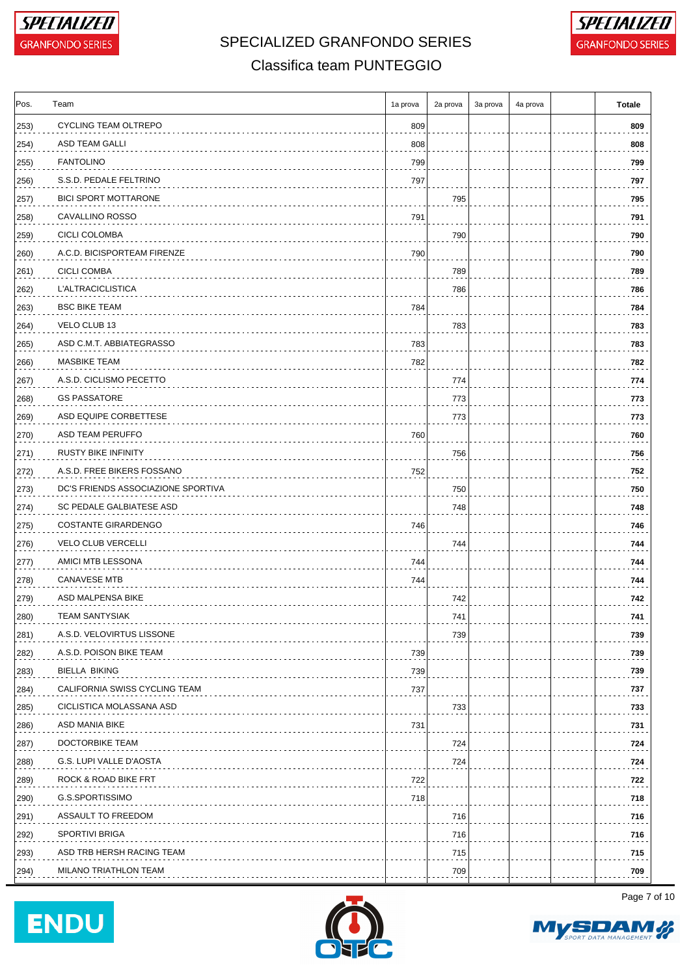



### Classifica team PUNTEGGIO

| Pos.          | Team                               | 1a prova | 2a prova | 3a prova | 4a prova | <b>Totale</b> |
|---------------|------------------------------------|----------|----------|----------|----------|---------------|
| $ 253\rangle$ | <b>CYCLING TEAM OLTREPO</b>        | 809      |          |          |          | 809           |
| 254)          | ASD TEAM GALLI                     | 808      |          |          |          | 808           |
| 255)          | <b>FANTOLINO</b>                   | 799      |          |          |          | 799           |
| 256)          | S.S.D. PEDALE FELTRINO             | 797      |          |          |          | 797           |
| 257)          | <b>BICI SPORT MOTTARONE</b>        |          | 795      |          |          | 795           |
| 258)          | CAVALLINO ROSSO                    | 791      |          |          |          | 791           |
| 259)          | CICLI COLOMBA                      |          | 790      |          |          | 790           |
| 260)          | A.C.D. BICISPORTEAM FIRENZE        | 790      |          |          |          | 790           |
| 261)          | CICLI COMBA                        |          | 789      |          |          | 789           |
| $ 262\rangle$ | L'ALTRACICLISTICA                  |          | 786      |          |          | 786           |
| 263)          | <b>BSC BIKE TEAM</b>               | 784      |          |          |          | 784           |
| 264)          | VELO CLUB 13                       |          | 783      |          |          | 783           |
| 265)          | ASD C.M.T. ABBIATEGRASSO           | 783      |          |          |          | 783           |
| 266)          | <b>MASBIKE TEAM</b>                | 782      |          |          |          | 782           |
| 267)          | A.S.D. CICLISMO PECETTO            |          | 774      |          |          | 774           |
| 268)          | <b>GS PASSATORE</b>                |          | 773      |          |          | 773           |
| 269)          | ASD EQUIPE CORBETTESE              |          | 773      |          |          | 773           |
| 270)          | ASD TEAM PERUFFO                   | 760      |          |          |          | 760           |
| 271)          | <b>RUSTY BIKE INFINITY</b>         |          | 756      |          |          | 756           |
| 272)          | A.S.D. FREE BIKERS FOSSANO         | 752      |          |          |          | 752           |
| 273)          | DC'S FRIENDS ASSOCIAZIONE SPORTIVA |          | 750      |          |          | 750           |
| (274)         | SC PEDALE GALBIATESE ASD           |          | 748      |          |          | 748           |
| 275)          | <b>COSTANTE GIRARDENGO</b>         | 746      |          |          |          | 746           |
| 276)          | <b>VELO CLUB VERCELLI</b>          |          | 744      |          |          | 744           |
| 277)          | AMICI MTB LESSONA                  | 744      |          |          |          | 744           |
| 278)          | <b>CANAVESE MTB</b>                | 744      |          |          |          | 744           |
| 279)          | ASD MALPENSA BIKE                  |          | 742      |          |          | 742           |
| 280)          | TEAM SANTYSIAK                     |          | 741      |          |          | 741           |
| 281)          | A.S.D. VELOVIRTUS LISSONE          |          | 739      |          |          | 739           |
| 282)          | A.S.D. POISON BIKE TEAM            | 739      |          |          |          | 739           |
| 283)          | <b>BIELLA BIKING</b>               | 739      |          |          |          | 739           |
| 284)          | CALIFORNIA SWISS CYCLING TEAM      | 737      |          |          |          | 737           |
| 285)          | CICLISTICA MOLASSANA ASD           |          | 733      |          |          | 733           |
| 286)          | ASD MANIA BIKE                     | 731      |          |          |          | 731           |
| 287)          | DOCTORBIKE TEAM                    |          | 724      |          |          | 724           |
| 288)          | G.S. LUPI VALLE D'AOSTA            |          | 724      |          |          | 724           |
| 289)          | ROCK & ROAD BIKE FRT               | 722      |          |          |          | 722           |
| 290)          | G.S.SPORTISSIMO                    | 718      |          |          |          | 718           |
| 291)          | ASSAULT TO FREEDOM                 |          | 716      |          |          | 716           |
| 292)          | <b>SPORTIVI BRIGA</b>              |          | 716      |          |          | 716           |
| 293)          | ASD TRB HERSH RACING TEAM          |          | 715      |          |          | 715           |
| 294)          | MILANO TRIATHLON TEAM              |          | 709      |          |          | 709           |





Page 7 of 10

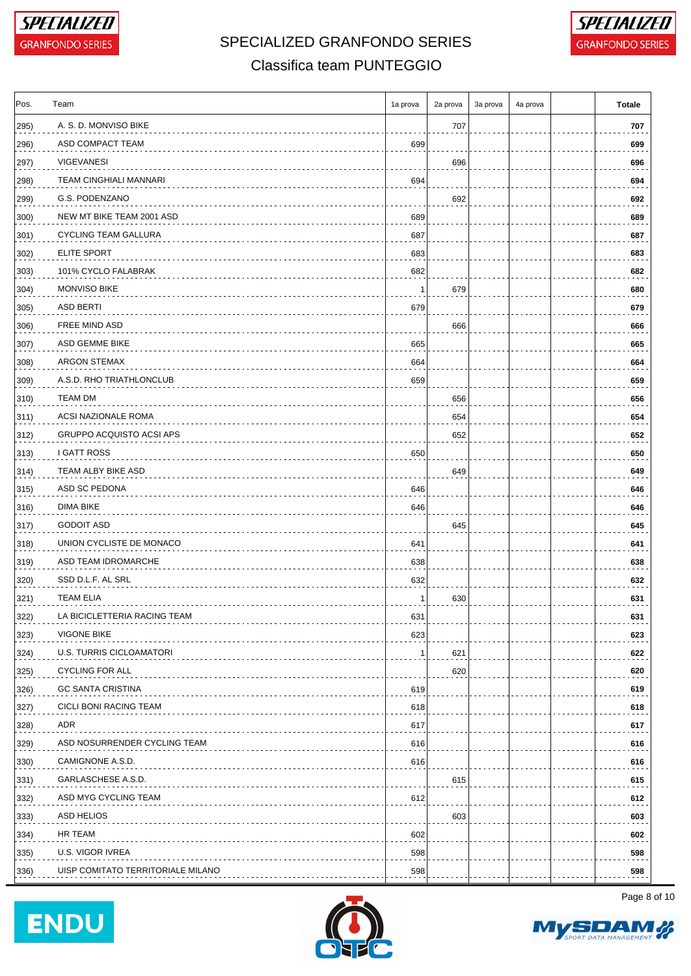



### Classifica team PUNTEGGIO

| Pos.          | Team                              | 1a prova | 2a prova | 3a prova | 4a prova | <b>Totale</b> |
|---------------|-----------------------------------|----------|----------|----------|----------|---------------|
| 295)          | A. S. D. MONVISO BIKE             |          | 707      |          |          | 707           |
| 296)          | ASD COMPACT TEAM                  | 699      |          |          |          | 699           |
| 297)          | <b>VIGEVANESI</b>                 |          | 696      |          |          | 696           |
| 298)          | <b>TEAM CINGHIALI MANNARI</b>     | 694      |          |          |          | 694           |
| 299)          | G.S. PODENZANO                    |          | 692      |          |          | 692           |
| 300)          | NEW MT BIKE TEAM 2001 ASD         | 689      |          |          |          | 689           |
| 301)          | CYCLING TEAM GALLURA              | 687      |          |          |          | 687           |
| 302)          | <b>ELITE SPORT</b>                | 683      |          |          |          | 683           |
| 303)          | 101% CYCLO FALABRAK               | 682      |          |          |          | 682           |
| 304)          | <b>MONVISO BIKE</b>               | -1       | 679      |          |          | 680           |
| 305)          | ASD BERTI                         | 679      |          |          |          | 679           |
| 306)          | FREE MIND ASD                     |          | 666      |          |          | 666           |
| 307)          | ASD GEMME BIKE                    | 665      |          |          |          | 665           |
| 308)          | ARGON STEMAX                      | 664      |          |          |          | 664           |
| 309)          | A.S.D. RHO TRIATHLONCLUB          | 659      |          |          |          | 659           |
| 310)          | <b>TEAM DM</b>                    |          | 656      |          |          | 656           |
| $ 311\rangle$ | ACSI NAZIONALE ROMA               |          | 654      |          |          | 654           |
| 312)          | GRUPPO ACQUISTO ACSI APS          |          | 652      |          |          | 652           |
| 313)          | I GATT ROSS                       | 650      |          |          |          | 650           |
| 314)          | TEAM ALBY BIKE ASD                |          | 649      |          |          | 649           |
| 315)          | ASD SC PEDONA                     | 646      |          |          |          | 646           |
| 316)          | DIMA BIKE                         | 646      |          |          |          | 646           |
| 317)          | <b>GODOIT ASD</b>                 |          | 645      |          |          | 645           |
| 318)          | UNION CYCLISTE DE MONACO          | 641      |          |          |          | 641           |
| 319)          | ASD TEAM IDROMARCHE               | 638      |          |          |          | 638           |
| 320)          | SSD D.L.F. AL SRL                 | 632      |          |          |          | 632           |
| 321)          | <b>TEAM ELIA</b>                  | -1       | 630      |          |          | 631           |
| 322)          | LA BICICLETTERIA RACING TEAM      | 631      |          |          |          | 631           |
| 323)          | <b>VIGONE BIKE</b>                | 623      |          |          |          | 623           |
| 324)          | U.S. TURRIS CICLOAMATORI          | -1       | 621      |          |          | 622           |
| 325)          | <b>CYCLING FOR ALL</b>            |          | 620      |          |          | 620           |
| 326)          | <b>GC SANTA CRISTINA</b>          | 619      |          |          |          | 619           |
| 327)          | CICLI BONI RACING TEAM            | 618      |          |          |          | 618           |
| 328)          | ADR                               | 617      |          |          |          | 617           |
| 329)          | ASD NOSURRENDER CYCLING TEAM      | 616      |          |          |          | 616           |
| 330)          | CAMIGNONE A.S.D.                  | 616      |          |          |          | 616           |
| 331)          | GARLASCHESE A.S.D.                |          | 615      |          |          | 615           |
| 332)          | ASD MYG CYCLING TEAM              | 612      |          |          |          | 612           |
| 333)          | ASD HELIOS                        |          | 603      |          |          | 603           |
| 334)          | HR TEAM                           | 602      |          |          |          | 602           |
| 335)          | U.S. VIGOR IVREA                  | 598      |          |          |          | 598           |
| 336)          | UISP COMITATO TERRITORIALE MILANO | 598      |          |          |          | 598           |
|               |                                   |          |          |          |          |               |





Page 8 of 10

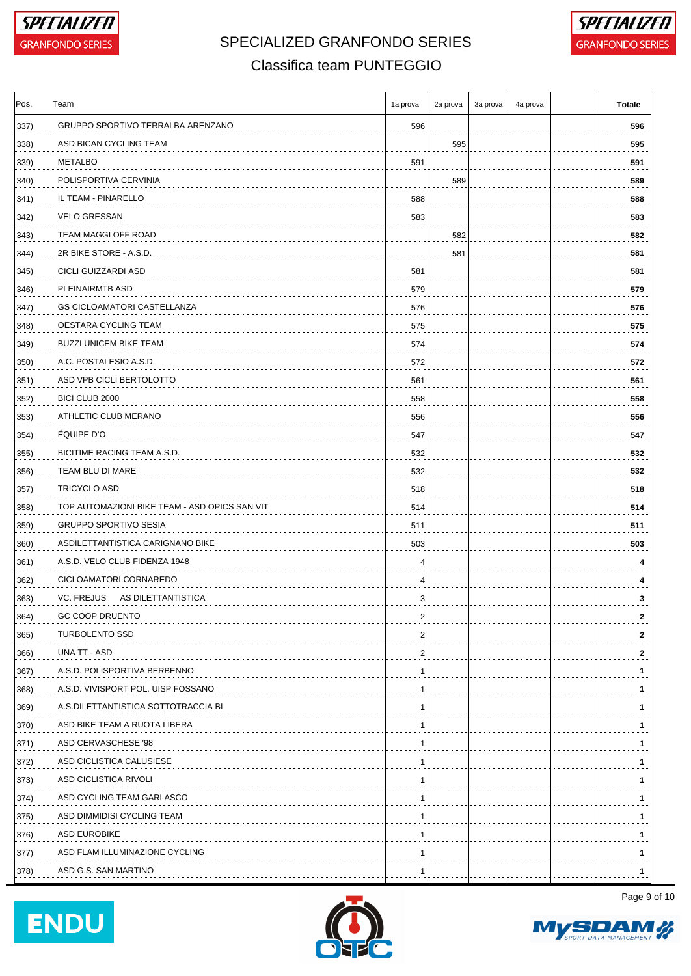



### Classifica team PUNTEGGIO

| Pos. | Team                                          | 1a prova                | 2a prova | 3a prova | 4a prova | Totale       |
|------|-----------------------------------------------|-------------------------|----------|----------|----------|--------------|
| 337) | GRUPPO SPORTIVO TERRALBA ARENZANO             | 596                     |          |          |          | 596          |
| 338) | ASD BICAN CYCLING TEAM                        |                         | 595      |          |          | 595          |
| 339) | <b>METALBO</b>                                | 591                     |          |          |          | 591          |
| 340) | POLISPORTIVA CERVINIA                         |                         | 589      |          |          | 589          |
| 341) | IL TEAM - PINARELLO                           | 588                     |          |          |          | 588          |
| 342) | <b>VELO GRESSAN</b>                           | 583                     |          |          |          | 583          |
| 343) | TEAM MAGGI OFF ROAD                           |                         | 582      |          |          | 582          |
| 344) | 2R BIKE STORE - A.S.D.                        |                         | 581      |          |          | 581          |
| 345) | CICLI GUIZZARDI ASD                           | 581                     |          |          |          | 581          |
| 346) | PLEINAIRMTB ASD                               | 579                     |          |          |          | 579          |
| 347) | <b>GS CICLOAMATORI CASTELLANZA</b>            | 576                     |          |          |          | 576          |
| 348) | OESTARA CYCLING TEAM                          | 575                     |          |          |          | 575          |
| 349) | <b>BUZZI UNICEM BIKE TEAM</b>                 | 574                     |          |          |          | 574          |
| 350) | A.C. POSTALESIO A.S.D.                        | 572                     |          |          |          | 572          |
| 351) | ASD VPB CICLI BERTOLOTTO                      | 561                     |          |          |          | 561          |
| 352) | BICI CLUB 2000                                | 558                     |          |          |          | 558          |
| 353) | ATHLETIC CLUB MERANO                          | 556                     |          |          |          | 556          |
| 354) | <b>ÉQUIPE D'O</b>                             | 547                     |          |          |          | 547          |
| 355) | BICITIME RACING TEAM A.S.D.                   | 532                     |          |          |          | 532          |
| 356) | TEAM BLU DI MARE                              | 532                     |          |          |          | 532          |
| 357) | TRICYCLO ASD                                  | 518                     |          |          |          | 518          |
| 358) | TOP AUTOMAZIONI BIKE TEAM - ASD OPICS SAN VIT | 514                     |          |          |          | 514          |
| 359) | <b>GRUPPO SPORTIVO SESIA</b>                  | 511                     |          |          |          | 511          |
| 360) | ASDILETTANTISTICA CARIGNANO BIKE              | 503                     |          |          |          | 503          |
| 361) | A.S.D. VELO CLUB FIDENZA 1948                 | 4                       |          |          |          | 4            |
| 362) | CICLOAMATORI CORNAREDO                        | 4                       |          |          |          | 4            |
| 363) | VC. FREJUS AS DILETTANTISTICA                 | 3                       |          |          |          | 3            |
| 364) | GC COOP DRUENTO                               | ۷                       |          |          |          | 2            |
| 365) | <b>TURBOLENTO SSD</b>                         | 2                       |          |          |          | $\mathbf{2}$ |
| 366) | UNA TT - ASD                                  | $\overline{\mathbf{c}}$ |          |          |          | $\mathbf{2}$ |
| 367) | A.S.D. POLISPORTIVA BERBENNO                  | 1                       |          |          |          | 1            |
| 368) | A.S.D. VIVISPORT POL. UISP FOSSANO            | 1                       |          |          |          | 1.           |
| 369) | A.S.DILETTANTISTICA SOTTOTRACCIA BI           | 1                       |          |          |          | 1.           |
| 370) | ASD BIKE TEAM A RUOTA LIBERA                  | 1                       |          |          |          | 1            |
| 371) | ASD CERVASCHESE '98                           | -1                      |          |          |          | 1.           |
| 372) | ASD CICLISTICA CALUSIESE                      | 1                       |          |          |          | 1            |
| 373) | ASD CICLISTICA RIVOLI                         |                         |          |          |          | 1.           |
| 374) | ASD CYCLING TEAM GARLASCO                     | 1                       |          |          |          | 1.           |
| 375) | ASD DIMMIDISI CYCLING TEAM                    | 1                       |          |          |          | 1.           |
| 376) | ASD EUROBIKE                                  | -1                      |          |          |          | 1            |
| 377) | ASD FLAM ILLUMINAZIONE CYCLING                | 1                       |          |          |          | 1.           |
| 378) | ASD G.S. SAN MARTINO                          |                         |          |          |          | 1            |





Page 9 of 10